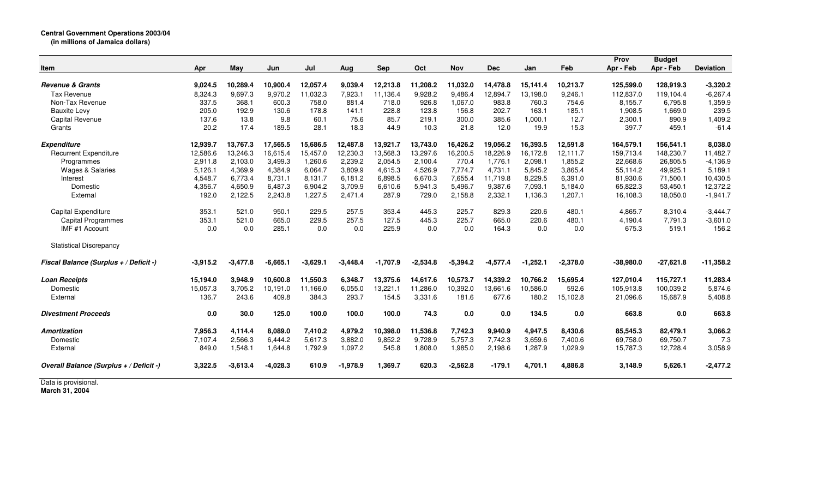| Item                                    | Apr        | May        | Jun        | Jul        | Aug        | <b>Sep</b> | Oct        | <b>Nov</b> | <b>Dec</b> | Jan        | Feb        | Prov<br>Apr - Feb | <b>Budget</b><br>Apr - Feb | <b>Deviation</b> |
|-----------------------------------------|------------|------------|------------|------------|------------|------------|------------|------------|------------|------------|------------|-------------------|----------------------------|------------------|
| <b>Revenue &amp; Grants</b>             | 9,024.5    | 10,289.4   | 10,900.4   | 12,057.4   | 9,039.4    | 12,213.8   | 11,208.2   | 11,032.0   | 14,478.8   | 15,141.4   | 10,213.7   | 125,599.0         | 128,919.3                  | $-3,320.2$       |
| Tax Revenue                             | 8,324.3    | 9,697.3    | 9,970.2    | 11,032.3   | 7,923.1    | 11,136.4   | 9,928.2    | 9,486.4    | 12,894.7   | 13,198.0   | 9,246.1    | 112,837.0         | 119,104.4                  | $-6,267.4$       |
| Non-Tax Revenue                         | 337.5      | 368.1      | 600.3      | 758.0      | 881.4      | 718.0      | 926.8      | 1,067.0    | 983.8      | 760.3      | 754.6      | 8,155.7           | 6,795.8                    | 1,359.9          |
| <b>Bauxite Levy</b>                     | 205.0      | 192.9      | 130.6      | 178.8      | 141.1      | 228.8      | 123.8      | 156.8      | 202.7      | 163.1      | 185.1      | 1,908.5           | 1,669.0                    | 239.5            |
| <b>Capital Revenue</b>                  | 137.6      | 13.8       | 9.8        | 60.1       | 75.6       | 85.7       | 219.1      | 300.0      | 385.6      | 1,000.1    | 12.7       | 2,300.1           | 890.9                      | 1,409.2          |
| Grants                                  | 20.2       | 17.4       | 189.5      | 28.1       | 18.3       | 44.9       | 10.3       | 21.8       | 12.0       | 19.9       | 15.3       | 397.7             | 459.1                      | $-61.4$          |
| <b>Expenditure</b>                      | 12,939.7   | 13,767.3   | 17,565.5   | 15,686.5   | 12,487.8   | 13,921.7   | 13,743.0   | 16,426.2   | 19,056.2   | 16,393.5   | 12,591.8   | 164,579.1         | 156,541.1                  | 8,038.0          |
| <b>Recurrent Expenditure</b>            | 12,586.6   | 13,246.3   | 16,615.4   | 15,457.0   | 12,230.3   | 13,568.3   | 13,297.6   | 16,200.5   | 18,226.9   | 16,172.8   | 12,111.7   | 159,713.4         | 148,230.7                  | 11,482.7         |
| Programmes                              | 2,911.8    | 2,103.0    | 3,499.3    | 1,260.6    | 2,239.2    | 2,054.5    | 2,100.4    | 770.4      | 1,776.1    | 2,098.1    | 1,855.2    | 22,668.6          | 26,805.5                   | $-4,136.9$       |
| Wages & Salaries                        | 5,126.1    | 4,369.9    | 4,384.9    | 6,064.7    | 3,809.9    | 4,615.3    | 4,526.9    | 7,774.7    | 4,731.1    | 5,845.2    | 3,865.4    | 55,114.2          | 49,925.1                   | 5,189.1          |
| Interest                                | 4,548.7    | 6,773.4    | 8,731.1    | 8,131.7    | 6,181.2    | 6,898.5    | 6,670.3    | 7,655.4    | 11,719.8   | 8,229.5    | 6,391.0    | 81,930.6          | 71,500.1                   | 10,430.5         |
| Domestic                                | 4,356.7    | 4,650.9    | 6,487.3    | 6,904.2    | 3,709.9    | 6,610.6    | 5,941.3    | 5,496.7    | 9,387.6    | 7,093.1    | 5.184.0    | 65,822.3          | 53,450.1                   | 12,372.2         |
| External                                | 192.0      | 2,122.5    | 2,243.8    | 1,227.5    | 2,471.4    | 287.9      | 729.0      | 2,158.8    | 2,332.1    | 1,136.3    | 1,207.1    | 16,108.3          | 18,050.0                   | $-1,941.7$       |
| <b>Capital Expenditure</b>              | 353.1      | 521.0      | 950.1      | 229.5      | 257.5      | 353.4      | 445.3      | 225.7      | 829.3      | 220.6      | 480.1      | 4,865.7           | 8,310.4                    | $-3,444.7$       |
| <b>Capital Programmes</b>               | 353.1      | 521.0      | 665.0      | 229.5      | 257.5      | 127.5      | 445.3      | 225.7      | 665.0      | 220.6      | 480.1      | 4,190.4           | 7,791.3                    | $-3,601.0$       |
| IMF #1 Account                          | 0.0        | 0.0        | 285.1      | 0.0        | 0.0        | 225.9      | 0.0        | 0.0        | 164.3      | 0.0        | 0.0        | 675.3             | 519.1                      | 156.2            |
| <b>Statistical Discrepancy</b>          |            |            |            |            |            |            |            |            |            |            |            |                   |                            |                  |
| Fiscal Balance (Surplus + / Deficit -)  | $-3.915.2$ | $-3,477.8$ | $-6,665.1$ | $-3,629.1$ | $-3,448.4$ | $-1.707.9$ | $-2,534.8$ | $-5,394.2$ | $-4,577.4$ | $-1,252.1$ | $-2,378.0$ | $-38,980.0$       | $-27,621.8$                | $-11,358.2$      |
| <b>Loan Receipts</b>                    | 15,194.0   | 3,948.9    | 10,600.8   | 11,550.3   | 6,348.7    | 13,375.6   | 14,617.6   | 10,573.7   | 14,339.2   | 10,766.2   | 15,695.4   | 127,010.4         | 115,727.1                  | 11,283.4         |
| Domestic                                | 15,057.3   | 3,705.2    | 10,191.0   | 11,166.0   | 6,055.0    | 13,221.1   | 11,286.0   | 10,392.0   | 13,661.6   | 10,586.0   | 592.6      | 105,913.8         | 100,039.2                  | 5,874.6          |
| External                                | 136.7      | 243.6      | 409.8      | 384.3      | 293.7      | 154.5      | 3,331.6    | 181.6      | 677.6      | 180.2      | 15,102.8   | 21,096.6          | 15,687.9                   | 5,408.8          |
| <b>Divestment Proceeds</b>              | 0.0        | 30.0       | 125.0      | 100.0      | 100.0      | 100.0      | 74.3       | 0.0        | 0.0        | 134.5      | 0.0        | 663.8             | 0.0                        | 663.8            |
| <b>Amortization</b>                     | 7,956.3    | 4,114.4    | 8,089.0    | 7,410.2    | 4,979.2    | 10,398.0   | 11,536.8   | 7,742.3    | 9,940.9    | 4,947.5    | 8,430.6    | 85,545.3          | 82,479.1                   | 3,066.2          |
| Domestic                                | 7,107.4    | 2,566.3    | 6,444.2    | 5,617.3    | 3,882.0    | 9,852.2    | 9,728.9    | 5,757.3    | 7,742.3    | 3,659.6    | 7,400.6    | 69,758.0          | 69,750.7                   | 7.3              |
| External                                | 849.0      | 1,548.1    | 1,644.8    | 1,792.9    | 1,097.2    | 545.8      | 1,808.0    | 1,985.0    | 2,198.6    | 1,287.9    | 1,029.9    | 15,787.3          | 12,728.4                   | 3,058.9          |
| Overall Balance (Surplus + / Deficit -) | 3,322.5    | $-3,613.4$ | $-4,028.3$ | 610.9      | $-1,978.9$ | 1,369.7    | 620.3      | $-2,562.8$ | $-179.1$   | 4,701.1    | 4,886.8    | 3,148.9           | 5,626.1                    | $-2,477.2$       |
| Data is provisional.                    |            |            |            |            |            |            |            |            |            |            |            |                   |                            |                  |

**March 31, 2004**